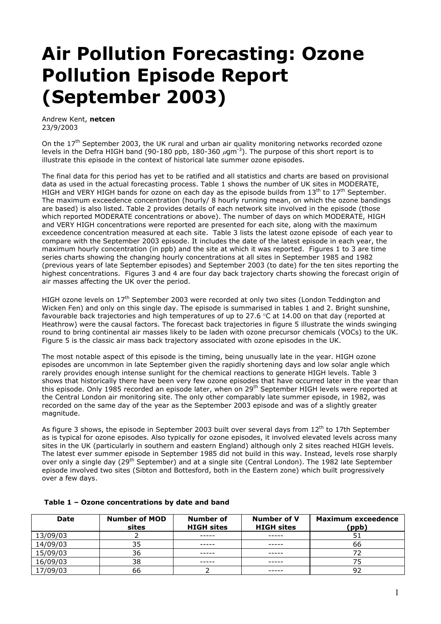## **Air Pollution Forecasting: Ozone Pollution Episode Report (September 2003)**

Andrew Kent, **netcen** 23/9/2003

On the  $17<sup>th</sup>$  September 2003, the UK rural and urban air quality monitoring networks recorded ozone levels in the Defra HIGH band (90-180 ppb, 180-360  $\mu$ gm<sup>-3</sup>). The purpose of this short report is to illustrate this episode in the context of historical late summer ozone episodes.

The final data for this period has yet to be ratified and all statistics and charts are based on provisional data as used in the actual forecasting process. Table 1 shows the number of UK sites in MODERATE, HIGH and VERY HIGH bands for ozone on each day as the episode builds from  $13<sup>th</sup>$  to  $17<sup>th</sup>$  September. The maximum exceedence concentration (hourly/ 8 hourly running mean, on which the ozone bandings are based) is also listed. Table 2 provides details of each network site involved in the episode (those which reported MODERATE concentrations or above). The number of days on which MODERATE, HIGH and VERY HIGH concentrations were reported are presented for each site, along with the maximum exceedence concentration measured at each site. Table 3 lists the latest ozone episode of each year to compare with the September 2003 episode. It includes the date of the latest episode in each year, the maximum hourly concentration (in ppb) and the site at which it was reported. Figures 1 to 3 are time series charts showing the changing hourly concentrations at all sites in September 1985 and 1982 (previous years of late September episodes) and September 2003 (to date) for the ten sites reporting the highest concentrations. Figures 3 and 4 are four day back trajectory charts showing the forecast origin of air masses affecting the UK over the period.

HIGH ozone levels on 17<sup>th</sup> September 2003 were recorded at only two sites (London Teddington and Wicken Fen) and only on this single day. The episode is summarised in tables 1 and 2. Bright sunshine, favourable back trajectories and high temperatures of up to 27.6  $\degree$ C at 14.00 on that day (reported at Heathrow) were the causal factors. The forecast back trajectories in figure 5 illustrate the winds swinging round to bring continental air masses likely to be laden with ozone precursor chemicals (VOCs) to the UK. Figure 5 is the classic air mass back trajectory associated with ozone episodes in the UK.

The most notable aspect of this episode is the timing, being unusually late in the year. HIGH ozone episodes are uncommon in late September given the rapidly shortening days and low solar angle which rarely provides enough intense sunlight for the chemical reactions to generate HIGH levels. Table 3 shows that historically there have been very few ozone episodes that have occurred later in the year than this episode. Only 1985 recorded an episode later, when on 29th September HIGH levels were reported at the Central London air monitoring site. The only other comparably late summer episode, in 1982, was recorded on the same day of the year as the September 2003 episode and was of a slightly greater magnitude.

As figure 3 shows, the episode in September 2003 built over several days from 12<sup>th</sup> to 17th September as is typical for ozone episodes. Also typically for ozone episodes, it involved elevated levels across many sites in the UK (particularly in southern and eastern England) although only 2 sites reached HIGH levels. The latest ever summer episode in September 1985 did not build in this way. Instead, levels rose sharply over only a single day (29<sup>th</sup> September) and at a single site (Central London). The 1982 late September episode involved two sites (Sibton and Bottesford, both in the Eastern zone) which built progressively over a few days.

| Date     | <b>Number of MOD</b><br>sites | Number of<br><b>HIGH</b> sites | Number of V<br><b>HIGH sites</b> | <b>Maximum exceedence</b><br>(ppb) |
|----------|-------------------------------|--------------------------------|----------------------------------|------------------------------------|
| 13/09/03 |                               | -----                          | -----                            |                                    |
| 14/09/03 | 35                            | -----                          | -----                            | 66                                 |
| 15/09/03 | 36                            | -----                          | -----                            |                                    |
| 16/09/03 | 38                            |                                |                                  |                                    |
| 17/09/03 | 66                            |                                |                                  |                                    |

## **Table 1 – Ozone concentrations by date and band**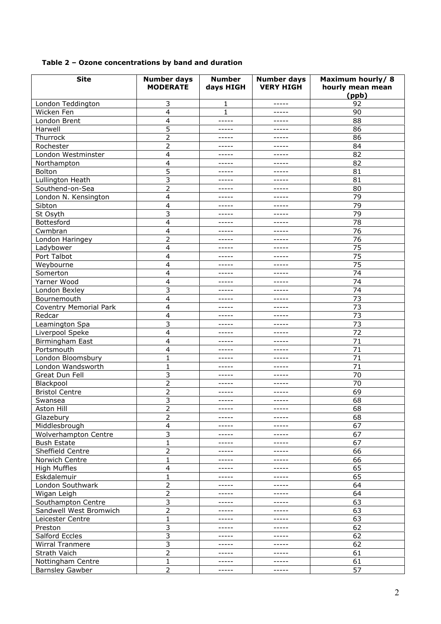## **Table 2 – Ozone concentrations by band and duration**

| <b>Site</b>                   | <b>Number days</b><br><b>MODERATE</b> | <b>Number</b><br>days HIGH | <b>Number days</b><br><b>VERY HIGH</b> | Maximum hourly/8<br>hourly mean mean<br>(ppb) |
|-------------------------------|---------------------------------------|----------------------------|----------------------------------------|-----------------------------------------------|
| London Teddington             | 3                                     | 1                          | -----                                  | 92                                            |
| Wicken Fen                    | 4                                     | $\mathbf{1}$               | -----                                  | 90                                            |
| London Brent                  | 4                                     | -----                      | -----                                  | 88                                            |
| Harwell                       | 5                                     | -----                      | -----                                  | 86                                            |
| Thurrock                      | $\overline{2}$                        | -----                      | -----                                  | 86                                            |
| Rochester                     | 2                                     | -----                      | -----                                  | 84                                            |
| London Westminster            | 4                                     | -----                      | -----                                  | 82                                            |
| Northampton                   | 4                                     | -----                      | -----                                  | 82                                            |
| Bolton                        | 5                                     | -----                      | -----                                  | 81                                            |
| Lullington Heath              | 3                                     | -----                      | -----                                  | 81                                            |
| Southend-on-Sea               | $\overline{2}$                        | -----                      | -----                                  | 80                                            |
| London N. Kensington          | 4                                     | -----                      | -----                                  | 79                                            |
| Sibton                        | 4                                     | -----                      | -----                                  | 79                                            |
| St Osyth                      | 3                                     | -----                      | -----                                  | 79                                            |
| Bottesford                    | 4                                     | -----                      | -----                                  | 78                                            |
| Cwmbran                       |                                       | -----                      | -----                                  | 76                                            |
|                               | 4                                     |                            |                                        |                                               |
| London Haringey               | 2                                     | -----                      | -----                                  | 76                                            |
| Ladybower                     | 4                                     | -----                      | -----                                  | 75                                            |
| Port Talbot                   | 4                                     | -----                      | -----                                  | 75                                            |
| Weybourne                     | 4                                     | -----                      | -----                                  | 75                                            |
| Somerton                      | 4                                     | -----                      | -----                                  | 74                                            |
| Yarner Wood                   | 4                                     | -----                      |                                        | 74                                            |
| London Bexley                 | 3                                     | -----                      | -----                                  | 74                                            |
| Bournemouth                   | 4                                     | -----                      | -----                                  | 73                                            |
| <b>Coventry Memorial Park</b> | 4                                     | -----                      | -----                                  | 73                                            |
| Redcar                        | 4                                     | -----                      | -----                                  | 73                                            |
| Leamington Spa                | 3                                     | -----                      | -----                                  | 73                                            |
| Liverpool Speke               | 4                                     | -----                      | -----                                  | 72                                            |
| Birmingham East               | 4                                     | -----                      | -----                                  | 71                                            |
| Portsmouth                    | 4                                     | -----                      | -----                                  | 71                                            |
| London Bloomsbury             | $\mathbf{1}$                          | -----                      | -----                                  | 71                                            |
| London Wandsworth             | 1                                     | -----                      | -----                                  | 71                                            |
| Great Dun Fell                | 3                                     | -----                      | -----                                  | 70                                            |
| Blackpool                     | $\overline{2}$                        | -----                      | -----                                  | 70                                            |
| <b>Bristol Centre</b>         | 2                                     | -----                      | -----                                  | 69                                            |
| Swansea                       | 3                                     | -----                      | -----                                  | 68                                            |
| Aston Hill                    | 2                                     | -----                      | -----                                  | 68                                            |
| Glazebury                     | $\overline{2}$                        | -----                      | -----                                  | 68                                            |
| Middlesbrough                 | 4                                     | -----                      | -----                                  | 67                                            |
| Wolverhampton Centre          | 3                                     | -----                      | -----                                  | 67                                            |
| <b>Bush Estate</b>            | 1                                     | -----                      | -----                                  | 67                                            |
| Sheffield Centre              | 2                                     | -----                      | -----                                  | 66                                            |
| Norwich Centre                | $\mathbf{1}$                          | -----                      | -----                                  | 66                                            |
| <b>High Muffles</b>           | 4                                     | -----                      | -----                                  | 65                                            |
| Eskdalemuir                   | 1                                     | -----                      | -----                                  | 65                                            |
| London Southwark              | $\overline{c}$                        | -----                      | -----                                  | 64                                            |
| Wigan Leigh                   | $\overline{c}$                        | -----                      | -----                                  | 64                                            |
| Southampton Centre            | 3                                     | -----                      | -----                                  | 63                                            |
| Sandwell West Bromwich        | $\overline{c}$                        | -----                      | -----                                  | 63                                            |
| Leicester Centre              | 1                                     | -----                      | -----                                  | 63                                            |
| Preston                       | 3                                     | -----                      | -----                                  | 62                                            |
| Salford Eccles                | 3                                     | -----                      | -----                                  | 62                                            |
|                               | 3                                     | -----                      | -----                                  | 62                                            |
| Wirral Tranmere               |                                       |                            |                                        | 61                                            |
| Strath Vaich                  | $\overline{c}$                        | -----                      | -----                                  | 61                                            |
| Nottingham Centre             | $\mathbf{1}$                          | -----                      | -----                                  |                                               |
| <b>Barnsley Gawber</b>        | 2                                     | -----                      | -----                                  | 57                                            |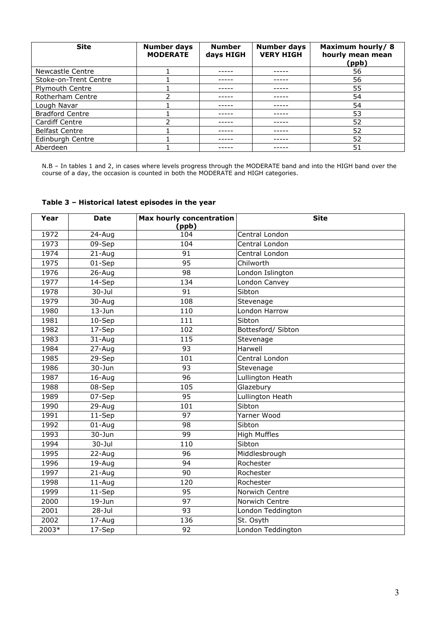| <b>Site</b>            | <b>Number days</b><br><b>MODERATE</b> | <b>Number</b><br>days HIGH | <b>Number days</b><br><b>VERY HIGH</b> | Maximum hourly/8<br>hourly mean mean<br>(ppb) |
|------------------------|---------------------------------------|----------------------------|----------------------------------------|-----------------------------------------------|
| Newcastle Centre       |                                       |                            |                                        | 56                                            |
| Stoke-on-Trent Centre  |                                       |                            |                                        | 56                                            |
| <b>Plymouth Centre</b> |                                       |                            |                                        | 55                                            |
| Rotherham Centre       |                                       |                            |                                        | 54                                            |
| Lough Navar            |                                       |                            |                                        | 54                                            |
| <b>Bradford Centre</b> |                                       |                            |                                        | 53                                            |
| <b>Cardiff Centre</b>  |                                       |                            |                                        | 52                                            |
| <b>Belfast Centre</b>  |                                       |                            |                                        | 52                                            |
| Edinburgh Centre       |                                       |                            |                                        | 52                                            |
| Aberdeen               |                                       |                            |                                        | 51                                            |

N.B – In tables 1 and 2, in cases where levels progress through the MODERATE band and into the HIGH band over the course of a day, the occasion is counted in both the MODERATE and HIGH categories.

| Year  | <b>Date</b> | <b>Max hourly concentration</b> | <b>Site</b>         |
|-------|-------------|---------------------------------|---------------------|
|       |             | (ppb)                           |                     |
| 1972  | 24-Aug      | 104                             | Central London      |
| 1973  | 09-Sep      | 104                             | Central London      |
| 1974  | $21 - Aug$  | $\overline{91}$                 | Central London      |
| 1975  | $01-$ Sep   | $\overline{95}$                 | Chilworth           |
| 1976  | $26 - Aug$  | 98                              | London Islington    |
| 1977  | $14-Sep$    | 134                             | London Canvey       |
| 1978  | $30 -$ Jul  | 91                              | Sibton              |
| 1979  | 30-Aug      | 108                             | Stevenage           |
| 1980  | $13 - Jun$  | 110                             | London Harrow       |
| 1981  | 10-Sep      | 111                             | Sibton              |
| 1982  | 17-Sep      | 102                             | Bottesford/ Sibton  |
| 1983  | $31 - Aug$  | 115                             | Stevenage           |
| 1984  | 27-Aug      | 93                              | Harwell             |
| 1985  | $29-$ Sep   | 101                             | Central London      |
| 1986  | $30 - Jun$  | 93                              | Stevenage           |
| 1987  | 16-Aug      | $\overline{96}$                 | Lullington Heath    |
| 1988  | 08-Sep      | 105                             | Glazebury           |
| 1989  | 07-Sep      | 95                              | Lullington Heath    |
| 1990  | 29-Aug      | 101                             | Sibton              |
| 1991  | 11-Sep      | 97                              | Yarner Wood         |
| 1992  | $01 - Aug$  | 98                              | Sibton              |
| 1993  | $30 - Jun$  | 99                              | <b>High Muffles</b> |
| 1994  | $30 -$ Jul  | 110                             | Sibton              |
| 1995  | $22$ -Aug   | 96                              | Middlesbrough       |
| 1996  | $19 - Aug$  | 94                              | Rochester           |
| 1997  | $21 - Aug$  | 90                              | Rochester           |
| 1998  | $11 - Aug$  | 120                             | Rochester           |
| 1999  | 11-Sep      | 95                              | Norwich Centre      |
| 2000  | $19 - Jun$  | $\overline{97}$                 | Norwich Centre      |
| 2001  | $28 -$ Jul  | $\overline{93}$                 | London Teddington   |
| 2002  | 17-Aug      | 136                             | St. Osyth           |
| 2003* | $17-$ Sep   | $\overline{92}$                 | London Teddington   |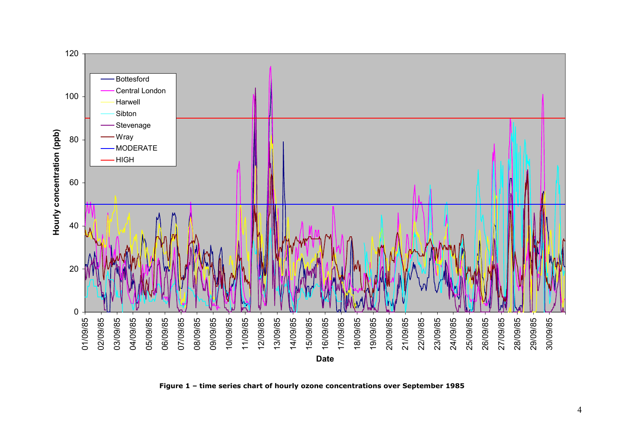

**Figure 1 – time series chart of hourly ozone concentrations over September 1985**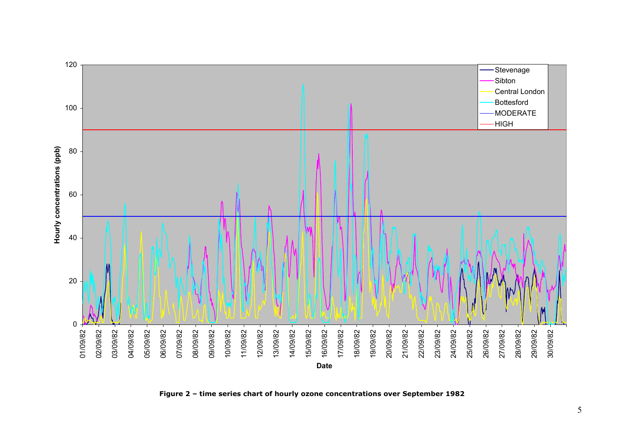

**Figure 2 – time series chart of hourly ozone concentrations over September 1982**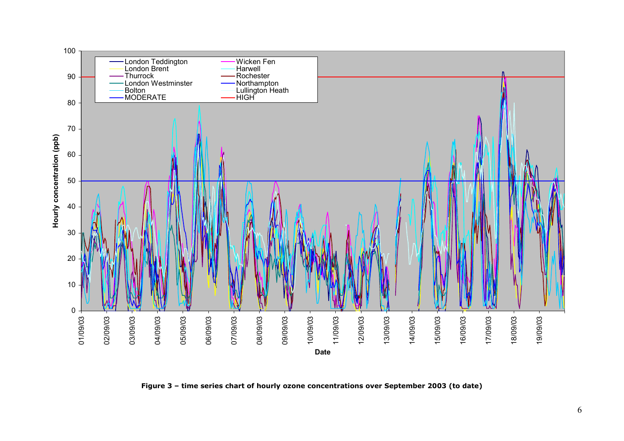

**Figure 3 – time series chart of hourly ozone concentrations over September 2003 (to date)**